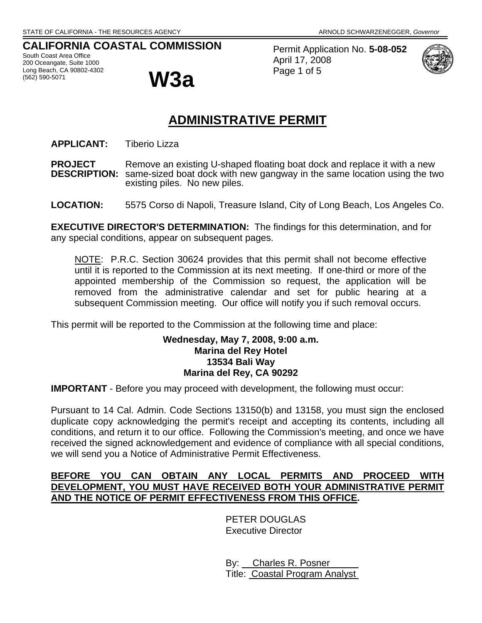# **CALIFORNIA COASTAL COMMISSION**

South Coast Area Office 200 Oceangate, Suite 1000 Long Beach, CA 90802-4302



Permit Application No. **5-08-052** April 17, 2008 Page 1 of 5



# **ADMINISTRATIVE PERMIT**

**APPLICANT:** Tiberio Lizza

**PROJECT** Remove an existing U-shaped floating boat dock and replace it with a new<br>**DESCRIPTION:** same-sized boat dock with new gangway in the same location using the tw same-sized boat dock with new gangway in the same location using the two existing piles. No new piles.

**LOCATION:** 5575 Corso di Napoli, Treasure Island, City of Long Beach, Los Angeles Co.

**EXECUTIVE DIRECTOR'S DETERMINATION:** The findings for this determination, and for any special conditions, appear on subsequent pages.

NOTE: P.R.C. Section 30624 provides that this permit shall not become effective until it is reported to the Commission at its next meeting. If one-third or more of the appointed membership of the Commission so request, the application will be removed from the administrative calendar and set for public hearing at a subsequent Commission meeting. Our office will notify you if such removal occurs.

This permit will be reported to the Commission at the following time and place:

## **Wednesday, May 7, 2008, 9:00 a.m. Marina del Rey Hotel 13534 Bali Way Marina del Rey, CA 90292**

**IMPORTANT** - Before you may proceed with development, the following must occur:

Pursuant to 14 Cal. Admin. Code Sections 13150(b) and 13158, you must sign the enclosed duplicate copy acknowledging the permit's receipt and accepting its contents, including all conditions, and return it to our office. Following the Commission's meeting, and once we have received the signed acknowledgement and evidence of compliance with all special conditions, we will send you a Notice of Administrative Permit Effectiveness.

# **BEFORE YOU CAN OBTAIN ANY LOCAL PERMITS AND PROCEED WITH DEVELOPMENT, YOU MUST HAVE RECEIVED BOTH YOUR ADMINISTRATIVE PERMIT AND THE NOTICE OF PERMIT EFFECTIVENESS FROM THIS OFFICE.**

PETER DOUGLAS Executive Director

 By: Charles R. Posner Title: Coastal Program Analyst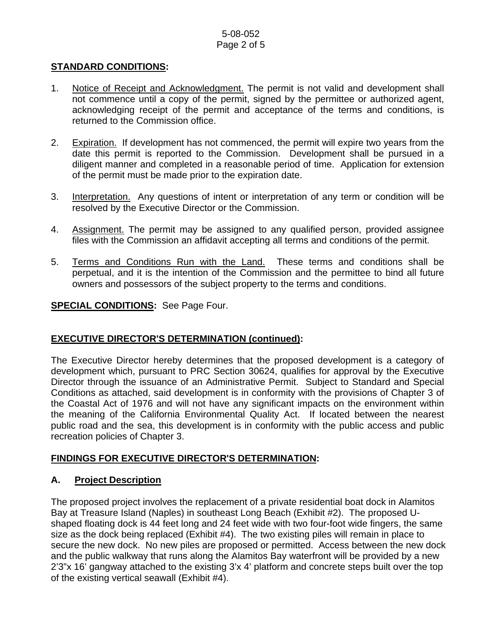#### 5-08-052 Page 2 of 5

## **STANDARD CONDITIONS:**

- 1. Notice of Receipt and Acknowledgment. The permit is not valid and development shall not commence until a copy of the permit, signed by the permittee or authorized agent, acknowledging receipt of the permit and acceptance of the terms and conditions, is returned to the Commission office.
- 2. Expiration. If development has not commenced, the permit will expire two years from the date this permit is reported to the Commission. Development shall be pursued in a diligent manner and completed in a reasonable period of time. Application for extension of the permit must be made prior to the expiration date.
- 3. Interpretation. Any questions of intent or interpretation of any term or condition will be resolved by the Executive Director or the Commission.
- 4. Assignment. The permit may be assigned to any qualified person, provided assignee files with the Commission an affidavit accepting all terms and conditions of the permit.
- 5. Terms and Conditions Run with the Land. These terms and conditions shall be perpetual, and it is the intention of the Commission and the permittee to bind all future owners and possessors of the subject property to the terms and conditions.

#### **SPECIAL CONDITIONS:** See Page Four.

#### **EXECUTIVE DIRECTOR'S DETERMINATION (continued):**

The Executive Director hereby determines that the proposed development is a category of development which, pursuant to PRC Section 30624, qualifies for approval by the Executive Director through the issuance of an Administrative Permit. Subject to Standard and Special Conditions as attached, said development is in conformity with the provisions of Chapter 3 of the Coastal Act of 1976 and will not have any significant impacts on the environment within the meaning of the California Environmental Quality Act. If located between the nearest public road and the sea, this development is in conformity with the public access and public recreation policies of Chapter 3.

#### **FINDINGS FOR EXECUTIVE DIRECTOR'S DETERMINATION:**

#### **A. Project Description**

The proposed project involves the replacement of a private residential boat dock in Alamitos Bay at Treasure Island (Naples) in southeast Long Beach (Exhibit #2). The proposed Ushaped floating dock is 44 feet long and 24 feet wide with two four-foot wide fingers, the same size as the dock being replaced (Exhibit #4). The two existing piles will remain in place to secure the new dock. No new piles are proposed or permitted. Access between the new dock and the public walkway that runs along the Alamitos Bay waterfront will be provided by a new 2'3"x 16' gangway attached to the existing 3'x 4' platform and concrete steps built over the top of the existing vertical seawall (Exhibit #4).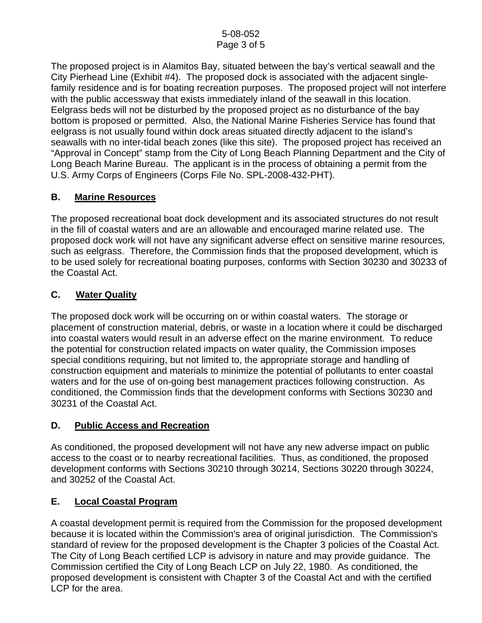The proposed project is in Alamitos Bay, situated between the bay's vertical seawall and the City Pierhead Line (Exhibit #4). The proposed dock is associated with the adjacent singlefamily residence and is for boating recreation purposes. The proposed project will not interfere with the public accessway that exists immediately inland of the seawall in this location. Eelgrass beds will not be disturbed by the proposed project as no disturbance of the bay bottom is proposed or permitted. Also, the National Marine Fisheries Service has found that eelgrass is not usually found within dock areas situated directly adjacent to the island's seawalls with no inter-tidal beach zones (like this site). The proposed project has received an "Approval in Concept" stamp from the City of Long Beach Planning Department and the City of Long Beach Marine Bureau. The applicant is in the process of obtaining a permit from the U.S. Army Corps of Engineers (Corps File No. SPL-2008-432-PHT).

# **B. Marine Resources**

The proposed recreational boat dock development and its associated structures do not result in the fill of coastal waters and are an allowable and encouraged marine related use. The proposed dock work will not have any significant adverse effect on sensitive marine resources, such as eelgrass. Therefore, the Commission finds that the proposed development, which is to be used solely for recreational boating purposes, conforms with Section 30230 and 30233 of the Coastal Act.

# **C. Water Quality**

The proposed dock work will be occurring on or within coastal waters. The storage or placement of construction material, debris, or waste in a location where it could be discharged into coastal waters would result in an adverse effect on the marine environment. To reduce the potential for construction related impacts on water quality, the Commission imposes special conditions requiring, but not limited to, the appropriate storage and handling of construction equipment and materials to minimize the potential of pollutants to enter coastal waters and for the use of on-going best management practices following construction. As conditioned, the Commission finds that the development conforms with Sections 30230 and 30231 of the Coastal Act.

# **D. Public Access and Recreation**

As conditioned, the proposed development will not have any new adverse impact on public access to the coast or to nearby recreational facilities. Thus, as conditioned, the proposed development conforms with Sections 30210 through 30214, Sections 30220 through 30224, and 30252 of the Coastal Act.

# **E. Local Coastal Program**

A coastal development permit is required from the Commission for the proposed development because it is located within the Commission's area of original jurisdiction. The Commission's standard of review for the proposed development is the Chapter 3 policies of the Coastal Act. The City of Long Beach certified LCP is advisory in nature and may provide guidance. The Commission certified the City of Long Beach LCP on July 22, 1980. As conditioned, the proposed development is consistent with Chapter 3 of the Coastal Act and with the certified LCP for the area.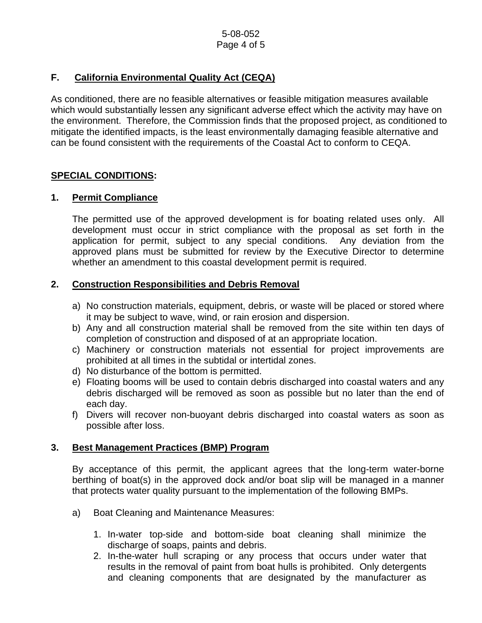# **F. California Environmental Quality Act (CEQA)**

As conditioned, there are no feasible alternatives or feasible mitigation measures available which would substantially lessen any significant adverse effect which the activity may have on the environment. Therefore, the Commission finds that the proposed project, as conditioned to mitigate the identified impacts, is the least environmentally damaging feasible alternative and can be found consistent with the requirements of the Coastal Act to conform to CEQA.

# **SPECIAL CONDITIONS:**

# **1. Permit Compliance**

 The permitted use of the approved development is for boating related uses only. All development must occur in strict compliance with the proposal as set forth in the application for permit, subject to any special conditions. Any deviation from the approved plans must be submitted for review by the Executive Director to determine whether an amendment to this coastal development permit is required.

# **2. Construction Responsibilities and Debris Removal**

- a) No construction materials, equipment, debris, or waste will be placed or stored where it may be subject to wave, wind, or rain erosion and dispersion.
- b) Any and all construction material shall be removed from the site within ten days of completion of construction and disposed of at an appropriate location.
- c) Machinery or construction materials not essential for project improvements are prohibited at all times in the subtidal or intertidal zones.
- d) No disturbance of the bottom is permitted.
- e) Floating booms will be used to contain debris discharged into coastal waters and any debris discharged will be removed as soon as possible but no later than the end of each day.
- f) Divers will recover non-buoyant debris discharged into coastal waters as soon as possible after loss.

# **3. Best Management Practices (BMP) Program**

By acceptance of this permit, the applicant agrees that the long-term water-borne berthing of boat(s) in the approved dock and/or boat slip will be managed in a manner that protects water quality pursuant to the implementation of the following BMPs.

- a) Boat Cleaning and Maintenance Measures:
	- 1. In-water top-side and bottom-side boat cleaning shall minimize the discharge of soaps, paints and debris.
	- 2. In-the-water hull scraping or any process that occurs under water that results in the removal of paint from boat hulls is prohibited. Only detergents and cleaning components that are designated by the manufacturer as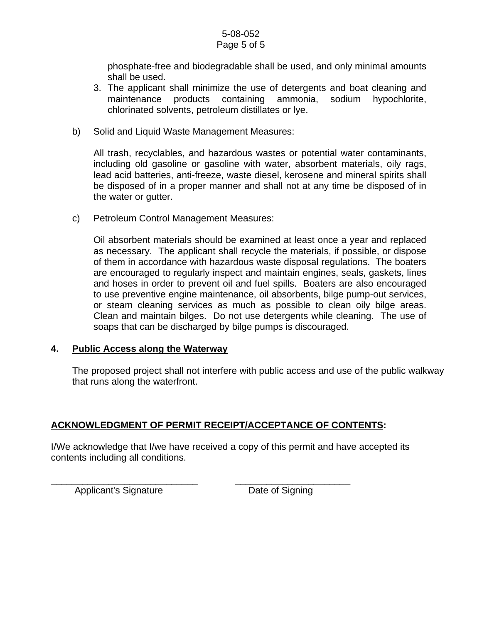#### 5-08-052 Page 5 of 5

phosphate-free and biodegradable shall be used, and only minimal amounts shall be used.

- 3. The applicant shall minimize the use of detergents and boat cleaning and maintenance products containing ammonia, sodium hypochlorite, chlorinated solvents, petroleum distillates or lye.
- b) Solid and Liquid Waste Management Measures:

All trash, recyclables, and hazardous wastes or potential water contaminants, including old gasoline or gasoline with water, absorbent materials, oily rags, lead acid batteries, anti-freeze, waste diesel, kerosene and mineral spirits shall be disposed of in a proper manner and shall not at any time be disposed of in the water or gutter.

c) Petroleum Control Management Measures:

Oil absorbent materials should be examined at least once a year and replaced as necessary. The applicant shall recycle the materials, if possible, or dispose of them in accordance with hazardous waste disposal regulations. The boaters are encouraged to regularly inspect and maintain engines, seals, gaskets, lines and hoses in order to prevent oil and fuel spills. Boaters are also encouraged to use preventive engine maintenance, oil absorbents, bilge pump-out services, or steam cleaning services as much as possible to clean oily bilge areas. Clean and maintain bilges. Do not use detergents while cleaning. The use of soaps that can be discharged by bilge pumps is discouraged.

#### **4. Public Access along the Waterway**

The proposed project shall not interfere with public access and use of the public walkway that runs along the waterfront.

# **ACKNOWLEDGMENT OF PERMIT RECEIPT/ACCEPTANCE OF CONTENTS:**

\_\_\_\_\_\_\_\_\_\_\_\_\_\_\_\_\_\_\_\_\_\_\_\_\_\_\_\_ \_\_\_\_\_\_\_\_\_\_\_\_\_\_\_\_\_\_\_\_\_\_

I/We acknowledge that I/we have received a copy of this permit and have accepted its contents including all conditions.

Applicant's Signature **Date of Signing**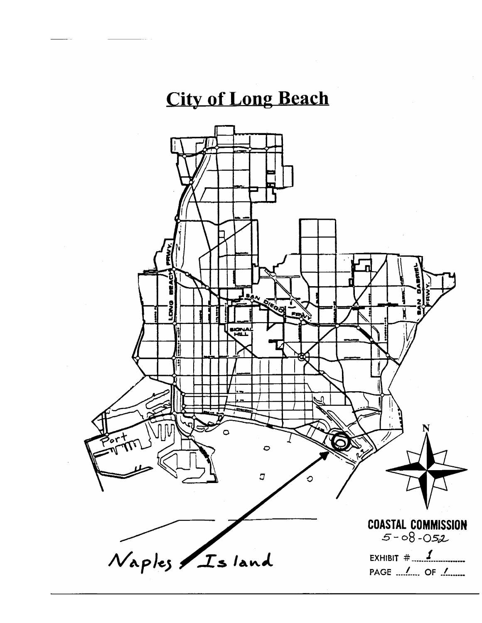# **City of Long Beach**

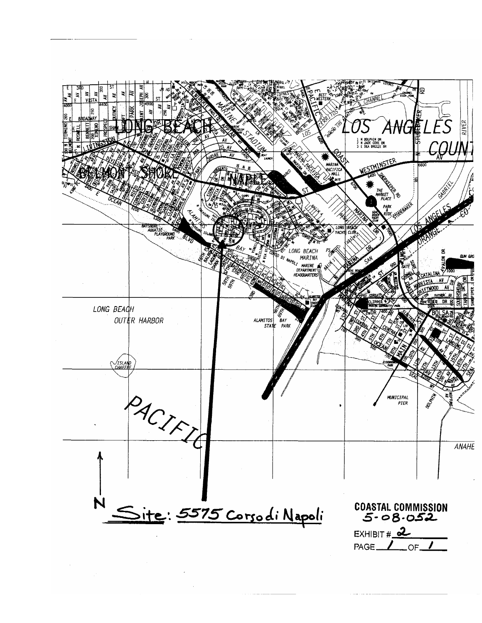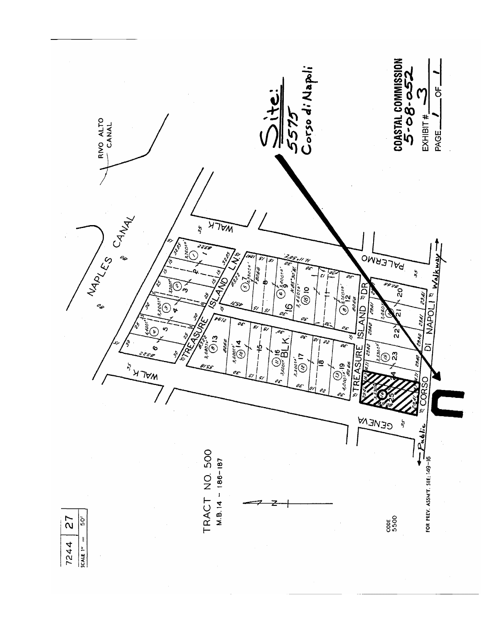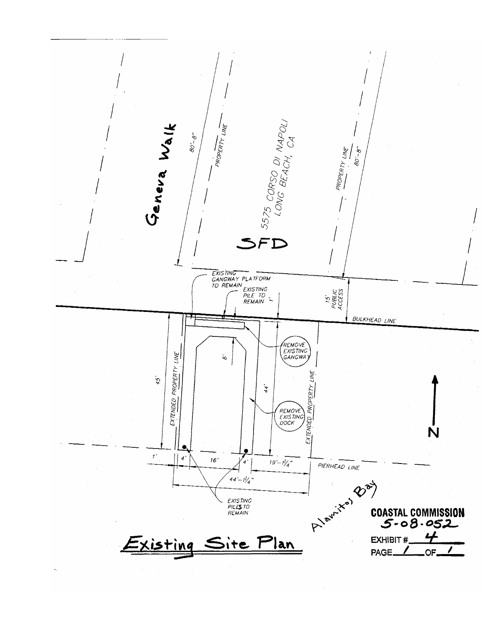